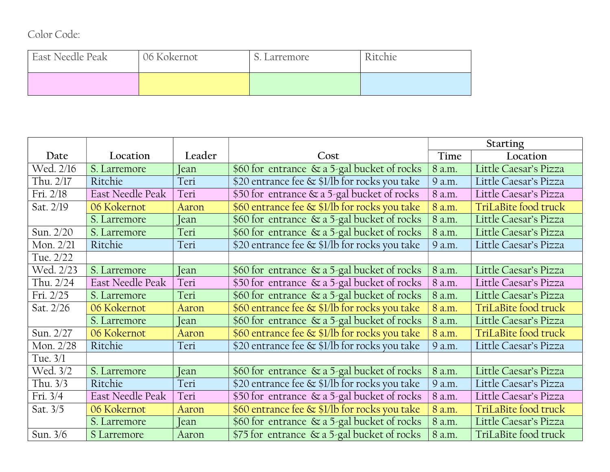| Color Code: |  |
|-------------|--|
|-------------|--|

| East Needle Peak | 06 Kokernot | . Larremore | Ritchie |  |
|------------------|-------------|-------------|---------|--|
|                  |             |             |         |  |

|            |                  |        |                                                | <b>Starting</b> |                       |
|------------|------------------|--------|------------------------------------------------|-----------------|-----------------------|
| Date       | Location         | Leader | Cost                                           | Time            | Location              |
| Wed. 2/16  | S. Larremore     | [ean   | \$60 for entrance $\&$ a 5-gal bucket of rocks | 8 a.m.          | Little Caesar's Pizza |
| Thu. 2/17  | Ritchie          | Teri   | \$20 entrance fee & \$1/lb for rocks you take  | 9 a.m.          | Little Caesar's Pizza |
| Fri. 2/18  | East Needle Peak | Teri   | \$50 for entrance & a 5-gal bucket of rocks    | 8 a.m.          | Little Caesar's Pizza |
| Sat. 2/19  | 06 Kokernot      | Aaron  | \$60 entrance fee & \$1/lb for rocks you take  | 8 a.m.          | TriLaBite food truck  |
|            | S. Larremore     | Jean   | \$60 for entrance & a 5-gal bucket of rocks    | 8 a.m.          | Little Caesar's Pizza |
| Sun. 2/20  | S. Larremore     | Teri   | \$60 for entrance & a 5-gal bucket of rocks    | 8 a.m.          | Little Caesar's Pizza |
| Mon. 2/21  | Ritchie          | Teri   | \$20 entrance fee & \$1/lb for rocks you take  | 9 a.m.          | Little Caesar's Pizza |
| Tue. 2/22  |                  |        |                                                |                 |                       |
| Wed. 2/23  | S. Larremore     | [ean   | \$60 for entrance & a 5-gal bucket of rocks    | 8 a.m.          | Little Caesar's Pizza |
| Thu. 2/24  | East Needle Peak | Teri   | \$50 for entrance & a 5-gal bucket of rocks    | 8 a.m.          | Little Caesar's Pizza |
| Fri. 2/25  | S. Larremore     | Teri   | \$60 for entrance & a 5-gal bucket of rocks    | 8 a.m.          | Little Caesar's Pizza |
| Sat. 2/26  | 06 Kokernot      | Aaron  | \$60 entrance fee & \$1/lb for rocks you take  | 8 a.m.          | TriLaBite food truck  |
|            | S. Larremore     | [ean-  | \$60 for entrance & a 5-gal bucket of rocks    | 8 a.m.          | Little Caesar's Pizza |
| Sun. 2/27  | 06 Kokernot      | Aaron  | \$60 entrance fee & \$1/lb for rocks you take  | 8 a.m.          | TriLaBite food truck  |
| Mon. 2/28  | Ritchie          | Teri   | \$20 entrance fee & \$1/lb for rocks you take  | 9 a.m.          | Little Caesar's Pizza |
| Tue. $3/1$ |                  |        |                                                |                 |                       |
| Wed. 3/2   | S. Larremore     | Jean   | \$60 for entrance & a 5-gal bucket of rocks    | 8 a.m.          | Little Caesar's Pizza |
| Thu. 3/3   | Ritchie          | Teri   | \$20 entrance fee & \$1/lb for rocks you take  | 9 a.m.          | Little Caesar's Pizza |
| Fri. 3/4   | East Needle Peak | Teri   | \$50 for entrance & a 5-gal bucket of rocks    | 8 a.m.          | Little Caesar's Pizza |
| Sat. 3/5   | 06 Kokernot      | Aaron  | \$60 entrance fee & \$1/lb for rocks you take  | 8 a.m.          | TriLaBite food truck  |
|            | S. Larremore     | Jean   | \$60 for entrance & a 5-gal bucket of rocks    | 8 a.m.          | Little Caesar's Pizza |
| Sun. 3/6   | S Larremore      | Aaron  | \$75 for entrance & a 5-gal bucket of rocks    | 8 a.m.          | TriLaBite food truck  |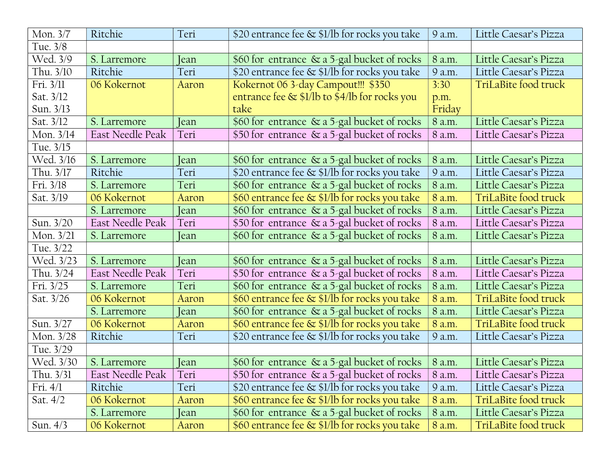| Mon. 3/7    | Ritchie          | Teri  | \$20 entrance fee & \$1/lb for rocks you take | 9 a.m.    | Little Caesar's Pizza |
|-------------|------------------|-------|-----------------------------------------------|-----------|-----------------------|
| Tue. 3/8    |                  |       |                                               |           |                       |
| Wed. 3/9    | S. Larremore     | Jean  | \$60 for entrance & a 5-gal bucket of rocks   | 8 a.m.    | Little Caesar's Pizza |
| Thu. 3/10   | Ritchie          | Teri  | \$20 entrance fee & \$1/lb for rocks you take | 9 a.m.    | Little Caesar's Pizza |
| Fri. 3/11   | 06 Kokernot      | Aaron | Kokernot 06 3-day Campout!!! \$350            | 3:30      | TriLaBite food truck  |
| Sat. 3/12   |                  |       | entrance fee & \$1/lb to \$4/lb for rocks you | p.m.      |                       |
| Sun. 3/13   |                  |       | take                                          | Friday    |                       |
| Sat. 3/12   | S. Larremore     | Jean  | \$60 for entrance & a 5-gal bucket of rocks   | 8 a.m.    | Little Caesar's Pizza |
| Mon. 3/14   | East Needle Peak | Teri  | \$50 for entrance & a 5-gal bucket of rocks   | 8 a.m.    | Little Caesar's Pizza |
| Tue. 3/15   |                  |       |                                               |           |                       |
| Wed. 3/16   | S. Larremore     | Jean  | \$60 for entrance & a 5-gal bucket of rocks   | 8 a.m.    | Little Caesar's Pizza |
| Thu. 3/17   | Ritchie          | Teri  | \$20 entrance fee & \$1/lb for rocks you take | 9 a.m.    | Little Caesar's Pizza |
| Fri. 3/18   | S. Larremore     | Teri  | \$60 for entrance & a 5-gal bucket of rocks   | 8 a.m.    | Little Caesar's Pizza |
| Sat. 3/19   | 06 Kokernot      | Aaron | \$60 entrance fee & \$1/lb for rocks you take | 8 a.m.    | TriLaBite food truck  |
|             | S. Larremore     | Jean  | \$60 for entrance & a 5-gal bucket of rocks   | 8 a.m.    | Little Caesar's Pizza |
| Sun. 3/20   | East Needle Peak | Teri  | \$50 for entrance & a 5-gal bucket of rocks   | 8 a.m.    | Little Caesar's Pizza |
| Mon. 3/21   | S. Larremore     | Jean  | \$60 for entrance & a 5-gal bucket of rocks   | 8 a.m.    | Little Caesar's Pizza |
| Tue. 3/22   |                  |       |                                               |           |                       |
| Wed. 3/23   | S. Larremore     | Jean  | \$60 for entrance & a 5-gal bucket of rocks   | 8 a.m.    | Little Caesar's Pizza |
| Thu. $3/24$ | East Needle Peak | Teri  | \$50 for entrance & a 5-gal bucket of rocks   | 8 a.m.    | Little Caesar's Pizza |
| Fri. 3/25   | S. Larremore     | Teri  | \$60 for entrance & a 5-gal bucket of rocks   | 8 a.m.    | Little Caesar's Pizza |
| Sat. 3/26   | 06 Kokernot      | Aaron | \$60 entrance fee & \$1/lb for rocks you take | 8 a.m.    | TriLaBite food truck  |
|             | S. Larremore     | Jean  | \$60 for entrance & a 5-gal bucket of rocks   | 8 a.m.    | Little Caesar's Pizza |
| Sun. 3/27   | 06 Kokernot      | Aaron | \$60 entrance fee & \$1/lb for rocks you take | 8 a.m.    | TriLaBite food truck  |
| Mon. 3/28   | Ritchie          | Teri  | \$20 entrance fee & \$1/lb for rocks you take | 9 a.m.    | Little Caesar's Pizza |
| Tue. 3/29   |                  |       |                                               |           |                       |
| Wed. 3/30   | S. Larremore     | Jean  | \$60 for entrance & a 5-gal bucket of rocks   | 8 a.m.    | Little Caesar's Pizza |
| Thu. 3/31   | East Needle Peak | Teri  | \$50 for entrance & a 5-gal bucket of rocks   | $ 8$ a.m. | Little Caesar's Pizza |
| Fri. $4/1$  | Ritchie          | Teri  | \$20 entrance fee & \$1/lb for rocks you take | 9 a.m.    | Little Caesar's Pizza |
| Sat. $4/2$  | 06 Kokernot      | Aaron | \$60 entrance fee & \$1/lb for rocks you take | 8 a.m.    | TriLaBite food truck  |
|             | S. Larremore     | Jean  | \$60 for entrance & a 5-gal bucket of rocks   | 8 a.m.    | Little Caesar's Pizza |
| Sun. $4/3$  | 06 Kokernot      | Aaron | \$60 entrance fee & \$1/lb for rocks you take | 8 a.m.    | TriLaBite food truck  |